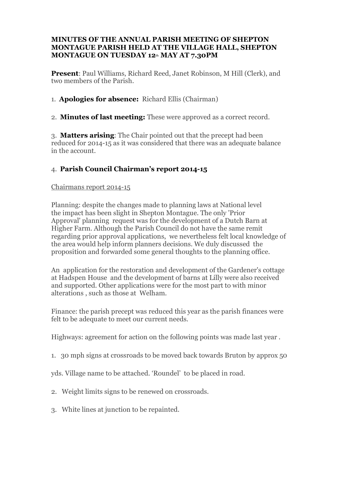#### **MINUTES OF THE ANNUAL PARISH MEETING OF SHEPTON MONTAGUE PARISH HELD AT THE VILLAGE HALL, SHEPTON MONTAGUE ON TUESDAY 12th MAY AT 7.30PM**

**Present**: Paul Williams, Richard Reed, Janet Robinson, M Hill (Clerk), and two members of the Parish.

1. **Apologies for absence:** Richard Ellis (Chairman)

## 2. **Minutes of last meeting:** These were approved as a correct record.

3. **Matters arising**: The Chair pointed out that the precept had been reduced for 2014-15 as it was considered that there was an adequate balance in the account.

# 4. **Parish Council Chairman's report 2014-15**

#### Chairmans report 2014-15

Planning: despite the changes made to planning laws at National level the impact has been slight in Shepton Montague. The only 'Prior Approval' planning request was for the development of a Dutch Barn at Higher Farm. Although the Parish Council do not have the same remit regarding prior approval applications, we nevertheless felt local knowledge of the area would help inform planners decisions. We duly discussed the proposition and forwarded some general thoughts to the planning office.

An application for the restoration and development of the Gardener's cottage at Hadspen House and the development of barns at Lilly were also received and supported. Other applications were for the most part to with minor alterations , such as those at Welham.

Finance: the parish precept was reduced this year as the parish finances were felt to be adequate to meet our current needs.

Highways: agreement for action on the following points was made last year .

1. 30 mph signs at crossroads to be moved back towards Bruton by approx 50

yds. Village name to be attached. 'Roundel' to be placed in road.

- 2. Weight limits signs to be renewed on crossroads.
- 3. White lines at junction to be repainted.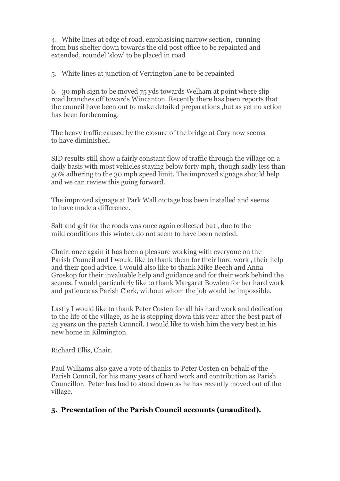4. White lines at edge of road, emphasising narrow section, running from bus shelter down towards the old post office to be repainted and extended, roundel 'slow' to be placed in road

5. White lines at junction of Verrington lane to be repainted

6. 30 mph sign to be moved 75 yds towards Welham at point where slip road branches off towards Wincanton. Recently there has been reports that the council have been out to make detailed preparations ,but as yet no action has been forthcoming.

The heavy traffic caused by the closure of the bridge at Cary now seems to have diminished.

SID results still show a fairly constant flow of traffic through the village on a daily basis with most vehicles staying below forty mph, though sadly less than 50% adhering to the 30 mph speed limit. The improved signage should help and we can review this going forward.

The improved signage at Park Wall cottage has been installed and seems to have made a difference.

Salt and grit for the roads was once again collected but , due to the mild conditions this winter, do not seem to have been needed.

Chair: once again it has been a pleasure working with everyone on the Parish Council and I would like to thank them for their hard work , their help and their good advice. I would also like to thank Mike Beech and Anna Groskop for their invaluable help and guidance and for their work behind the scenes. I would particularly like to thank Margaret Bowden for her hard work and patience as Parish Clerk, without whom the job would be impossible.

Lastly I would like to thank Peter Costen for all his hard work and dedication to the life of the village, as he is stepping down this year after the best part of 25 years on the parish Council. I would like to wish him the very best in his new home in Kilmington.

Richard Ellis, Chair.

Paul Williams also gave a vote of thanks to Peter Costen on behalf of the Parish Council, for his many years of hard work and contribution as Parish Councillor. Peter has had to stand down as he has recently moved out of the village.

## **5. Presentation of the Parish Council accounts (unaudited).**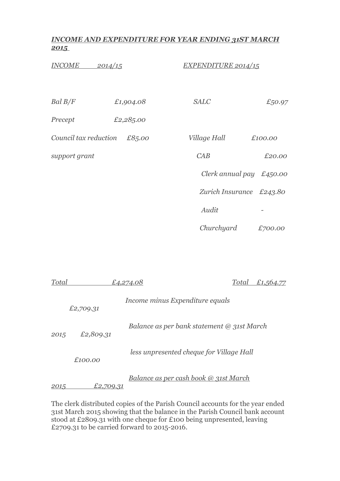## *INCOME AND EXPENDITURE FOR YEAR ENDING 31ST MARCH 2015*

| <b>INCOME</b><br><u>2014/15</u> |           | <u>EXPENDITURE 2014/15</u> |         |
|---------------------------------|-----------|----------------------------|---------|
| Bal B/F                         | £1,904.08 | <b>SALC</b>                | £50.97  |
| Precept                         | £2,285.00 |                            |         |
| Council tax reduction           | £85.00    | Village Hall               | £100.00 |
| support grant                   |           | CAB                        | £20.00  |
|                                 |           | Clerk annual pay $£450.00$ |         |
|                                 |           | Zurich Insurance £243.80   |         |
|                                 |           | Audit                      |         |
|                                 |           | Churchyard                 | £700.00 |

| Total |           | £4,274.08                                    | Total | £1,564.77 |
|-------|-----------|----------------------------------------------|-------|-----------|
|       | £2,709.31 | Income minus Expenditure equals              |       |           |
| 2015  | £2,809.31 | Balance as per bank statement @ 31st March   |       |           |
|       | £100.00   | less unpresented cheque for Village Hall     |       |           |
| 2015  | £2,709.31 | <u>Balance as per cash book @ 31st March</u> |       |           |

The clerk distributed copies of the Parish Council accounts for the year ended 31st March 2015 showing that the balance in the Parish Council bank account stood at £2809.31 with one cheque for £100 being unpresented, leaving £2709.31 to be carried forward to 2015-2016.